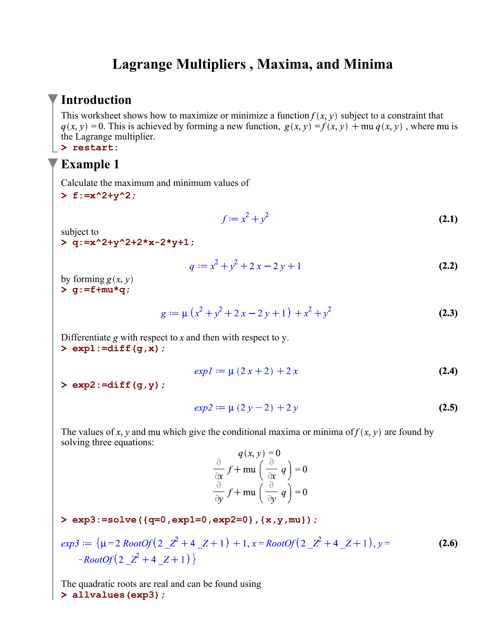## **Lagrange Multipliers , Maxima, and Minima**

### **Introduction**

This worksheet shows how to maximize or minimize a function  $f(x, y)$  subject to a constraint that  $q(x, y) = 0$ . This is achieved by forming a new function,  $q(x, y) = f(x, y) + \text{mu } q(x, y)$ , where mu is the Lagrange multiplier.

#### **> restart:**

### **Example 1**

Calculate the maximum and minimum values of

**> f:=x^2+y^2;**

$$
f := x^2 + y^2
$$
 (2.1)

subject to

**> q:=x^2+y^2+2\*x-2\*y+1;**

$$
q := x2 + y2 + 2x - 2y + 1
$$
 (2.2)

**> g:=f+mu\*q;** by forming  $g(x, y)$ 

$$
g := \mu \left( x^2 + y^2 + 2x - 2y + 1 \right) + x^2 + y^2
$$
 (2.3)

**> exp1:=diff(g,x);** Differentiate g with respect to  $x$  and then with respect to  $y$ .

$$
exp I := \mu (2x + 2) + 2x \tag{2.4}
$$

**> exp2:=diff(g,y);**

$$
exp2 := \mu (2y - 2) + 2y \tag{2.5}
$$

The values of x, y and mu which give the conditional maxima or minima of  $f(x, y)$  are found by solving three equations:

 $q(x, y) = 0$ <br>  $\frac{\partial}{\partial x} f + \text{mu} \left( \frac{\partial}{\partial x} q \right) = 0$ <br>  $\frac{\partial}{\partial y} f + \text{mu} \left( \frac{\partial}{\partial y} q \right) = 0$ 

#### **> exp3:=solve({q=0,exp1=0,exp2=0},{x,y,mu});**

$$
exp3 := \{ \mu = 2 \; RootOf(2 \; \underline{\quad}^2 + 4 \; \underline{\quad} Z + 1) + 1, x = RootOf(2 \; \underline{\quad}^2 + 4 \; \underline{\quad} Z + 1), y = -RootOf(2 \; \underline{\quad}^2 + 4 \; \underline{\quad} Z + 1) \}
$$
\n(2.6)

**> allvalues(exp3);**The quadratic roots are real and can be found using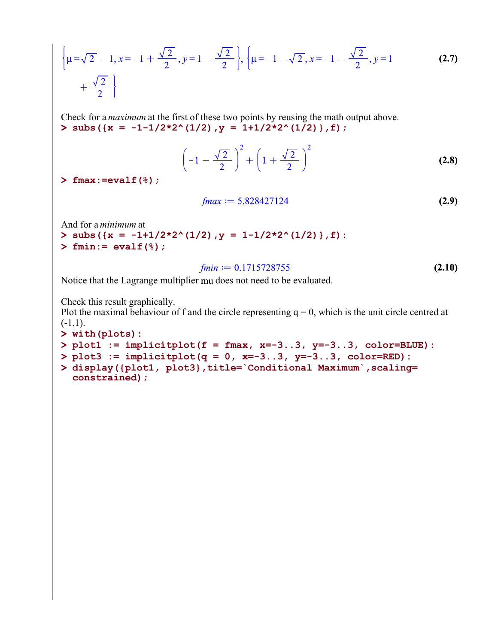$$
\left\{\mu = \sqrt{2} - 1, x = -1 + \frac{\sqrt{2}}{2}, y = 1 - \frac{\sqrt{2}}{2}\right\}, \left\{\mu = -1 - \sqrt{2}, x = -1 - \frac{\sqrt{2}}{2}, y = 1 - \frac{\sqrt{2}}{2}\right\}
$$
 (2.7)

**> subs({x = -1-1/2\*2^(1/2),y = 1+1/2\*2^(1/2)},f);** Check for a *maximum* at the first of these two points by reusing the math output above.

$$
\left(-1 - \frac{\sqrt{2}}{2}\right)^2 + \left(1 + \frac{\sqrt{2}}{2}\right)^2
$$
 (2.8)

**> fmax:=evalf(%);**

$$
fmax := 5.828427124 \tag{2.9}
$$

And for a *minimum* at

- **> subs({x = -1+1/2\*2^(1/2),y = 1-1/2\*2^(1/2)},f):**
- **> fmin:= evalf(%);**

$$
fmin := 0.1715728755 \tag{2.10}
$$

Notice that the Lagrange multiplier mu does not need to be evaluated.

Check this result graphically.

Plot the maximal behaviour of f and the circle representing  $q = 0$ , which is the unit circle centred at  $(-1,1)$ .

- **> with(plots):**
- **> plot1 := implicitplot(f = fmax, x=-3..3, y=-3..3, color=BLUE):**

```
> 
plot3 := implicitplot(q = 0, x=-3..3, y=-3..3, color=RED):
```

```
> 
display({plot1, plot3},title=`Conditional Maximum`,scaling=
 constrained);
```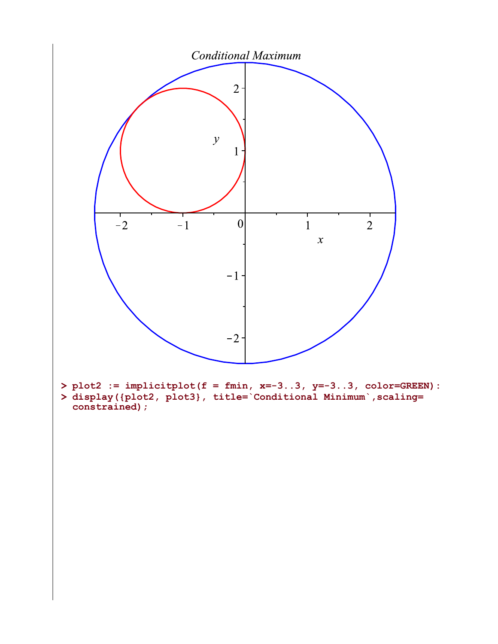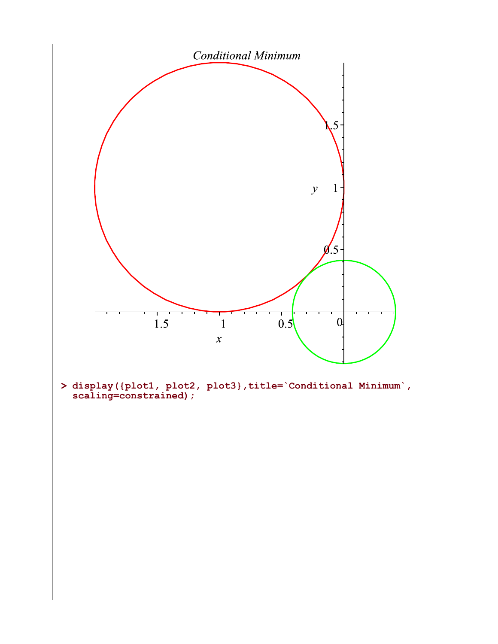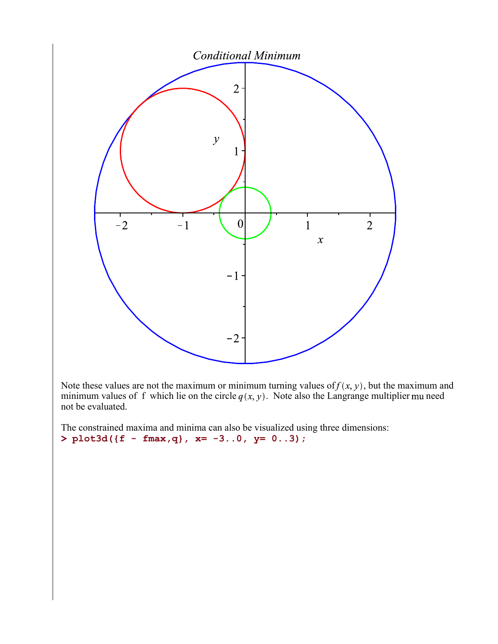

Note these values are not the maximum or minimum turning values of  $f(x, y)$ , but the maximum and minimum values of f which lie on the circle  $q(x, y)$ . Note also the Langrange multiplier mu need not be evaluated.

**>**  The constrained maxima and minima can also be visualized using three dimensions: **plot3d({f - fmax,q}, x= -3..0, y= 0..3);**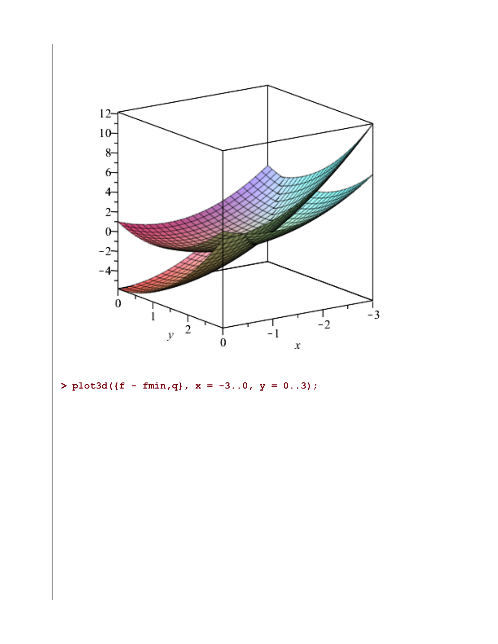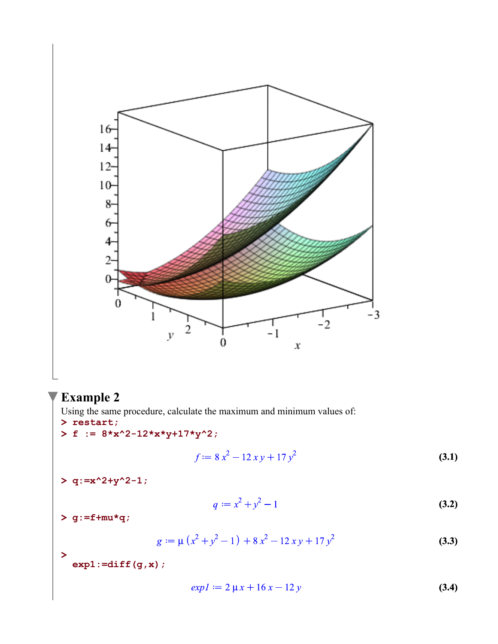

# **Example 2**

**> restart;** Using the same procedure, calculate the maximum and minimum values of:

 $> f := 8*x^2-12*x*y+17*y^2;$ 

$$
f := 8x^2 - 12xy + 17y^2
$$
 (3.1)

**> q:=x^2+y^2-1;**

$$
q := x^2 + y^2 - 1 \tag{3.2}
$$

**> g:=f+mu\*q;**

**>** 

$$
g := \mu \left( x^2 + y^2 - 1 \right) + 8x^2 - 12xy + 17y^2
$$
 (3.3)

**exp1:=diff(g,x);**

$$
exp I := 2 \mu x + 16 x - 12 y \tag{3.4}
$$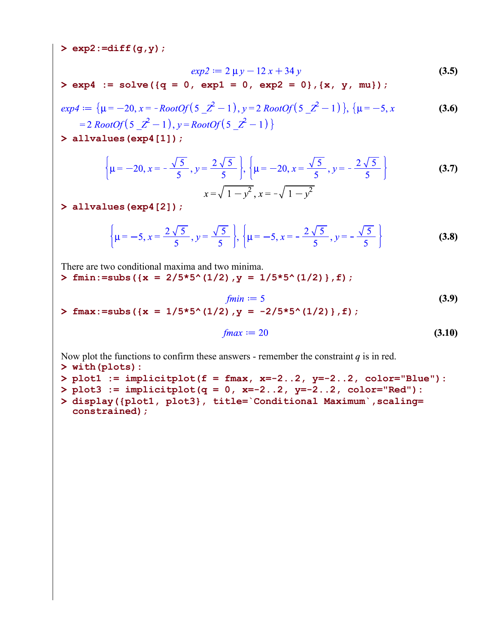**> exp2:=diff(g,y);**

$$
exp2 := 2 \mu y - 12 x + 34 y \tag{3.5}
$$

**> exp4 := solve({q = 0, exp1 = 0, exp2 = 0},{x, y, mu});**

$$
exp4 := \{ \mu = -20, x = -RootOf(5_2^2 - 1), y = 2 RootOf(5_2^2 - 1) \}, \{ \mu = -5, x
$$
  
= 2 RootOf(5\_2^2 - 1), y = RootOf(5\_2^2 - 1) \}

**> allvalues(exp4[1]);**

$$
\left\{\mu = -20, x = -\frac{\sqrt{5}}{5}, y = \frac{2\sqrt{5}}{5}\right\}, \left\{\mu = -20, x = \frac{\sqrt{5}}{5}, y = -\frac{2\sqrt{5}}{5}\right\}
$$
(3.7)

**> allvalues(exp4[2]);**

**>** 

$$
\left\{\mu=-5, x=\frac{2\sqrt{5}}{5}, y=\frac{\sqrt{5}}{5}\right\}, \left\{\mu=-5, x=-\frac{2\sqrt{5}}{5}, y=-\frac{\sqrt{5}}{5}\right\}
$$
(3.8)

There are two conditional maxima and two minima.

**> fmin:=subs({x = 2/5\*5^(1/2),y = 1/5\*5^(1/2)},f);**

$$
fmin := 5
$$
(3.9)  
fnax :=subs ( $\{x = 1/5*5^(1/2), y = -2/5*5^(1/2)\}, f$ ) ;

$$
fmax := 20 \tag{3.10}
$$

Now plot the functions to confirm these answers - remember the constraint  $q$  is in red.

```
> 
plot3 := implicitplot(q = 0, x=-2..2, y=-2..2, color="Red"):
> 
display({plot1, plot3}, title=`Conditional Maximum`,scaling=
> 
plot1 := implicitplot(f = fmax, x=-2..2, y=-2..2, color="Blue"):
> 
with(plots):
 constrained);
```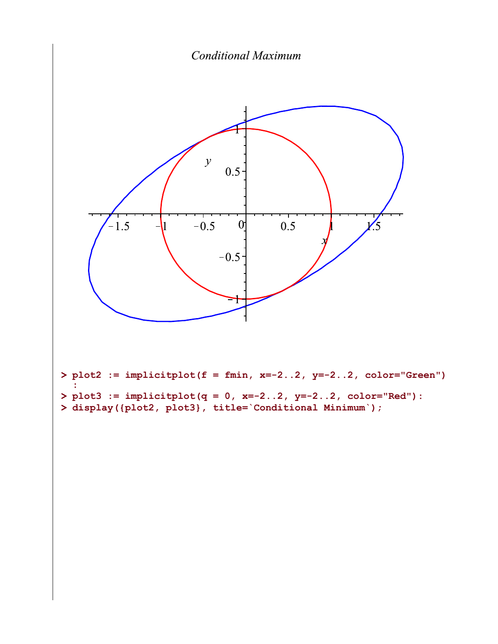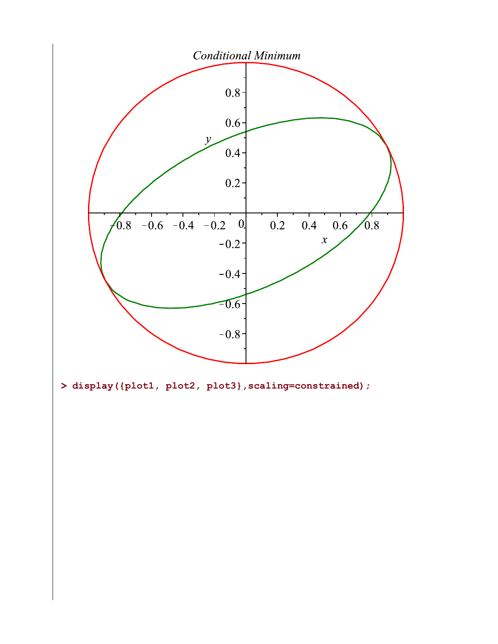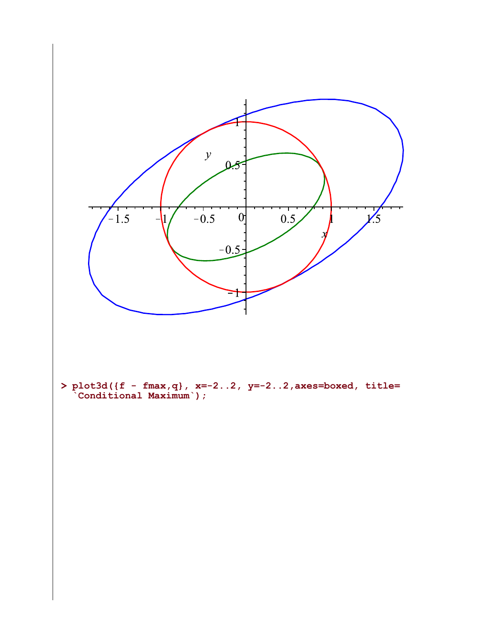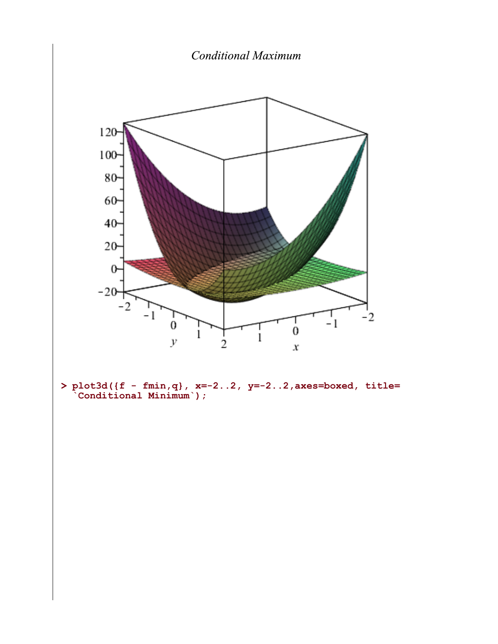